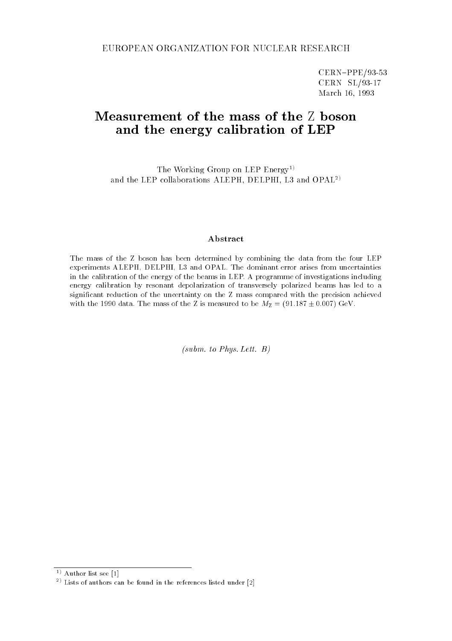CERN-PPE/93-53 CERN SL/93-17 March 16, 1993

# Measurement of the mass of the <sup>Z</sup> boson and the energy calibration of LEP

The Working Group on LEP Energy<sup>1)</sup> and the LEP collaborations ALEPH, DELPHI, L3 and OPAL2)

#### Abstract

The mass of the Z boson has been determined by combining the data from the four LEP experiments ALEPH, DELPHI, L3 and OPAL. The dominant error arises from uncertainties in the calibration of the energy of the beams in LEP. A programme of investigations including energy calibration by resonant depolarization of transversely polarized beams has led to a signicant reduction of the uncertainty on the Z mass compared with the precision achieved with the 1990 data. The mass of the Z is measured to be  $M_Z = (91.187 \pm 0.007) \text{ GeV}$ .

(subm. to Phys. Lett. B)

 $\sim$  Author list see [1]  $-$ 

 $\lceil$  - Lists of authors can be found in the references listed under  $\lceil 2 \rceil$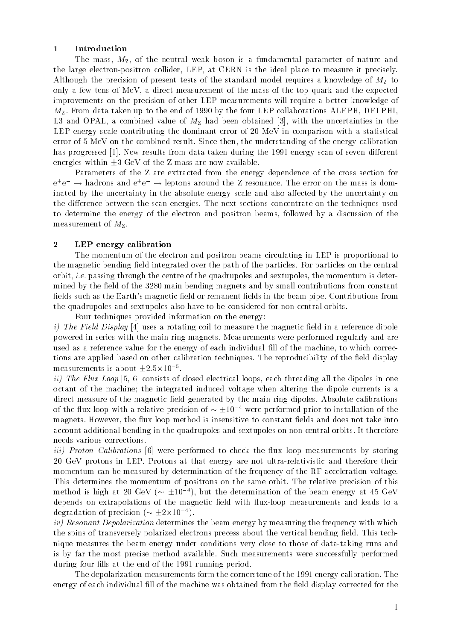#### 1 Introduction

The mass,  $M_{\rm Z}$ , of the neutral weak boson is a fundamental parameter of nature and the large electron-positron collider, LEP, at CERN isthe ideal place to measure it precisely. Although the precision of present tests of the standard model requires a knowledge of  $M_{\rm Z}$  to only a few tens of MeV, a direct measurement of the mass of the top quark and the expected improvements on the precision of other LEP measurements will require a better knowledge of  $M_{\rm Z}$ . From data taken up to the end of 1990 by the four LEP collaborations ALEPH, DELPHI, L3 and OPAL, a combined value of  $M_{\rm Z}$  had been obtained [3], with the uncertainties in the LEP energy scale contributing the dominant error of 20 MeV in comparison with a statistical error of 5 MeV on the combined result. Since then, the understanding of the energy calibration has progressed [1]. New results from data taken during the 1991 energy scan of seven different energies within  $\pm 3$  GeV of the Z mass are now available.

Parameters of the Z are extracted from the energy dependence of the cross section for e+e  $\;\rightarrow$  nadrons and e+e  $\;\rightarrow$  leptons around the  $L$  resonance. The error on the mass is dominated by the uncertainty in the absolute energy scale and also affected by the uncertainty on the difference between the scan energies. The next sections concentrate on the techniques used to determine the energy of the electron and positron beams, followed by a discussion of the measurement of  $M_{\rm Z}$ .

### 2 LEP energy calibration

The momentum of the electron and positron beams circulating in LEP is proportional to the magnetic bending field integrated over the path of the particles. For particles on the central orbit, i.e. passing through the centre of the quadrupoles and sextupoles, the momentum is determined by the field of the 3280 main bending magnets and by small contributions from constant fields such as the Earth's magnetic field or remanent fields in the beam pipe. Contributions from the quadrupoles and sextupoles also have to be considered for non-central orbits.

Four techniques provided information on the energy:

*i)* The Field Display [4] uses a rotating coil to measure the magnetic field in a reference dipole powered in series with the main ring magnets. Measurements were performed regularly and are used as a reference value for the energy of each individual fill of the machine, to which corrections are applied based on other calibration techniques. The reproducibility of the field display measurements is about  $\pm 2.5\!\times\!10^{-8}$ .

ii) The Flux Loop [5, 6] consists of closed electrical loops, each threading all the dipoles in one octant of the machine; the integrated induced voltage when altering the dipole currents is a direct measure of the magnetic field generated by the main ring dipoles. Absolute calibrations of the flux loop with a relative precision of  $\sim \pm 10^{-4}$  were performed prior to installation of the magnets. However, the flux loop method is insensitive to constant fields and does not take into account additional bending in the quadrupoles and sextupoles on non-central orbits. It therefore needs various corrections.

*iii)* Proton Calibrations [6] were performed to check the flux loop measurements by storing 20 GeV protons in LEP. Protons at that energy are not ultra-relativistic and therefore their momentum can be measured by determination of the frequency of the RF acceleration voltage. This determines the momentum of positrons on the same orbit. The relative precision of this method is high at 20 GeV ( $\sim \pm 10^{-4}$ ), but the determination of the beam energy at 45 GeV depends on extrapolations of the magnetic field with flux-loop measurements and leads to a degradation of precision ( $\sim \pm 2\times 10^{-4}$ ).

iv) Resonant Depolarization determines the beam energy by measuring the frequency with which the spins of transversely polarized electrons precess about the vertical bending field. This technique measures the beam energy under conditions very close to those of data-taking runs and is by far the most precise method available. Such measurements were successfully performed during four fills at the end of the 1991 running period.

The depolarization measurements form the cornerstone of the 1991 energy calibration. The energy of each individual fill of the machine was obtained from the field display corrected for the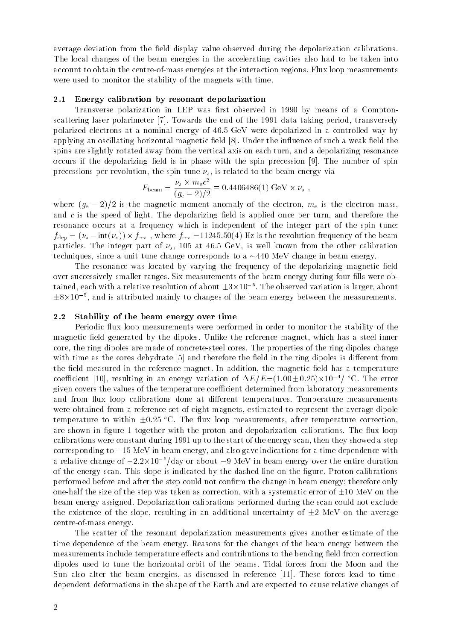average deviation from the field display value observed during the depolarization calibrations. The local changes of the beam energies in the accelerating cavities also had to be taken into account to obtain the centre-of-mass energies at the interaction regions. Flux loop measurements were used to monitor the stability of the magnets with time.

#### $2.1$ Energy calibration by resonant depolarization

Transverse polarization in LEP was first observed in 1990 by means of a Comptonscattering laser polarimeter [7]. Towards the end of the 1991 data taking period, transversely polarized electrons at a nominal energy of 46.5 GeV were depolarized in a controlled way by applying an oscillating horizontal magnetic field [8]. Under the influence of such a weak field the spins are slightly rotated away from the vertical axis on each turn, and a depolarizing resonance occurs if the depolarizing field is in phase with the spin precession  $[9]$ . The number of spin precessions per revolution, the spin tune  $\nu_s$ , is related to the beam energy via

$$
E_{\text{beam}} = \frac{\nu_s \times m_e c^2}{(g_e - 2)/2} \equiv 0.4406486(1) \text{ GeV} \times \nu_s ,
$$

where  $(g_e - 2)/2$  is the magnetic moment anomaly of the electron,  $m_e$  is the electron mass, and  $c$  is the speed of light. The depolarizing field is applied once per turn, and therefore the resonance occurs at a frequency which is independent of the integer part of the spin tune:  $f$ dep  $\rightarrow$  (s  $\rightarrow$  intervals)  $f$  is the revolution frequency of the second frequency of the beam  $f$ particles. The integer part of  $\nu_s$ , 105 at 46.5 GeV, is well known from the other calibration techniques, since a unit tune change corresponds to a  $\sim$  440 MeV change in beam energy.

The resonance was located by varying the frequency of the depolarizing magnetic field over successively smaller ranges. Six measurements of the beam energy during four fills were obtained, each with a relative resolution of about  $\pm 3\times 10^{-8}$ . The observed variation is larger, about 8-105 , and is attributed mainly to changes of the beam energy between the measurements.

#### 2.2 Stability of the beam energy over time

Periodic flux loop measurements were performed in order to monitor the stability of the magnetic field generated by the dipoles. Unlike the reference magnet, which has a steel inner core, the ring dipoles are made of concrete-steel cores. The properties of the ring dipoles change with time as the cores dehydrate [5] and therefore the field in the ring dipoles is different from the field measured in the reference magnet. In addition, the magnetic field has a temperature coefficient [10], resulting in an energy variation of  $\Delta E/E$  =(1.00  $\pm$  0.25) $\times$ 10  $^{-1}$  °C. The error given covers the values of the temperature coefficient determined from laboratory measurements and from flux loop calibrations done at different temperatures. Temperature measurements were obtained from a reference set of eight magnets, estimated to represent the average dipole temperature to within  $\pm 0.25$  °C. The flux loop measurements, after temperature correction, are shown in figure 1 together with the proton and depolarization calibrations. The flux loop calibrations were constant during 1991 up to the start of the energy scan, then they showed a step corresponding to  $-15$  MeV in beam energy, and also gave indications for a time dependence with a relative change of  $-2.2\!\times\!10^{-9}$  (day or about  $-9$  MeV in beam energy over the entire duration of the energy scan. This slope is indicated by the dashed line on the figure. Proton calibrations performed before and after the step could not confirm the change in beam energy; therefore only one-half the size of the step was taken as correction, with a systematic error of  $\pm 10$  MeV on the beam energy assigned. Depolarization calibrations performed during the scan could not exclude the existence of the slope, resulting in an additional uncertainty of  $\pm 2$  MeV on the average centre-of-mass energy.

The scatter of the resonant depolarization measurements gives another estimate of the time dependence of the beam energy. Reasons for the changes of the beam energy between the measurements include temperature effects and contributions to the bending field from correction dipoles used to tune the horizontal orbit of the beams. Tidal forces from the Moon and the Sun also alter the beam energies, as discussed in reference [11]. These forces lead to timedependent deformations in the shape of the Earth and are expected to cause relative changes of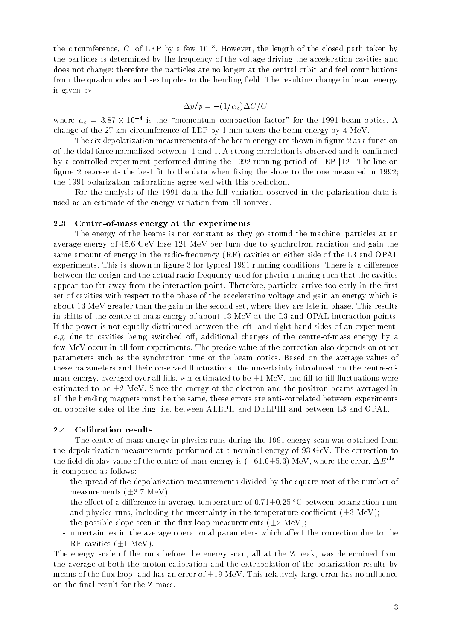the circumference,  $C$  , of LEP by a few 10  $\,$  . However, the length of the closed path taken by the particles is determined by the frequency of the voltage driving the acceleration cavities and does not change; therefore the particles are no longer at the central orbit and feel contributions from the quadrupoles and sextupoles to the bending field. The resulting change in beam energy is given by

$$
\Delta p/p = -(1/\alpha_c)\Delta C/C,
$$

where  $\alpha_c$  = 3.87  $\times$  10  $^+$  is the "momentum compaction factor" for the 1991 beam optics. A change of the 27 km circumference of LEP by 1 mm alters the beam energy by 4 MeV.

The six depolarization measurements of the beam energy are shown in figure 2 as a function of the tidal force normalized between -1 and 1. A strong correlation is observed and is conrmed by a controlled experiment performed during the 1992 running period of LEP [12]. The line on figure 2 represents the best fit to the data when fixing the slope to the one measured in  $1992$ ; the 1991 polarization calibrations agree well with this prediction.

For the analysis of the 1991 data the full variation observed in the polarization data is used as an estimate of the energy variation from all sources.

#### 2.3 Centre-of-mass energy at the experiments

The energy of the beams is not constant as they go around the machine; particles at an average energy of 45.6 GeV lose 124 MeV per turn due to synchrotron radiation and gain the same amount of energy in the radio-frequency (RF) cavities on either side of the L3 and OPAL experiments. This is shown in figure 3 for typical 1991 running conditions. There is a difference between the design and the actual radio-frequency used for physics running such that the cavities appear too far away from the interaction point. Therefore, particles arrive too early in the first set of cavities with respect to the phase of the accelerating voltage and gain an energy which is about 13 MeV greater than the gain in the second set, where they are late in phase. This results in shifts of the centre-of-mass energy of about 13 MeV at the L3 and OPAL interaction points. If the power is not equally distributed between the left- and right-hand sides of an experiment, e.g. due to cavities being switched o, additional changes of the centre-of-mass energy by a few MeV occur in all four experiments. The precise value of the correction also depends on other parameters such as the synchrotron tune or the beam optics. Based on the average values of these parameters and their observed fluctuations, the uncertainty introduced on the centre-ofmass energy, averaged over all fills, was estimated to be  $\pm 1$  MeV, and fill-to-fill fluctuations were estimated to be  $\pm 2$  MeV. Since the energy of the electron and the positron beams averaged in all the bending magnets must be the same, these errors are anti-correlated between experiments on opposite sides of the ring, i.e. between ALEPH and DELPHI and between L3 and OPAL.

### 2.4 Calibration results

The centre-of-mass energy in physics runs during the 1991 energy scan was obtained from the depolarization measurements performed at a nominal energy of 93 GeV. The correction to the field display value of the centre-of-mass energy is ( $-01.0\pm0.3$ ) MeV, where the error,  $\Delta E_{\parallel}$  , is composed as follows:

- the spread of the depolarization measurements divided by the square root of the number of measurements  $(\pm 3.7 \text{ MeV})$ ;
- the effect of a difference in average temperature of  $0.71\pm0.25$  °C between polarization runs and physics runs, including the uncertainty in the temperature coefficient  $(\pm 3 \text{ MeV})$ ;
- the possible slope seen in the flux loop measurements ( $\pm 2$  MeV);
- uncertainties in the average operational parameters which affect the correction due to the RF cavities  $(\pm 1 \text{ MeV})$ .

The energy scale of the runs before the energy scan, all at the Z peak, was determined from the average of both the proton calibration and the extrapolation of the polarization results by means of the flux loop, and has an error of  $\pm 19 \text{ MeV}$ . This relatively large error has no influence on the final result for the Z mass.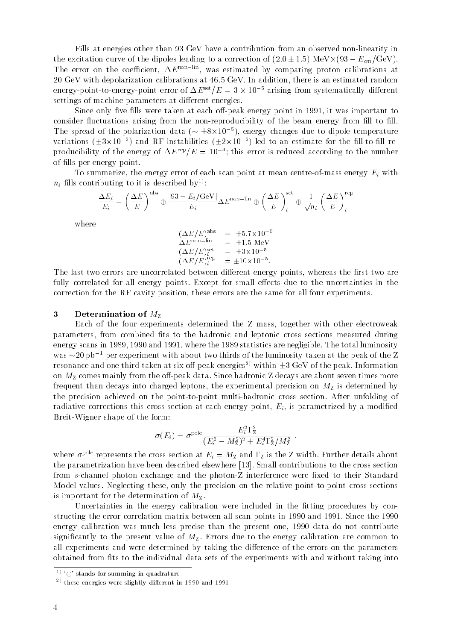Fills at energies other than 93 GeV have a contribution from an observed non-linearity in the excitation curve of the dipoles leading to a correction of  $(2:0, 1:5)$  meV- $\gamma$  (60  $\rightarrow$   $E_{CIII}$ ) GeV). The error on the coefficient,  $\Delta E^{\text{non-lin}}$ , was estimated by comparing proton calibrations at 20 GeV with depolarization calibrations at 46.5 GeV. In addition, there is an estimated random energy-point-to-energy-point error of  $\Delta E^{sc} / E = 3 \times 10^{-8}$  arising from systematically different settings of machine parameters at different energies.

Since only five fills were taken at each off-peak energy point in 1991, it was important to consider fluctuations arising from the non-reproducibility of the beam energy from fill to fill. The spread of the polarization data ( $\sim \pm 8 \times 10^{-3}$ ), energy changes due to dipole temperature variations (±3×10 °) and RF instabilities (±2×10 °) led to an estimate for the fill-to-fill reproducibility of the energy of  $\Delta E^{\text{reg}}/E = 10^{-4}$ ; this error is reduced according to the number of fills per energy point.

To summarize, the energy error of each scan point at mean centre-of-mass energy  $E_i$  with  $n_i$  fills contributing to it is described by<sup>1)</sup>:

$$
\frac{\Delta E_i}{E_i} = \left(\frac{\Delta E}{E}\right)^{\text{abs}} \oplus \frac{|93 - E_i/\text{GeV}|}{E_i} \Delta E^{\text{non-lin}} \oplus \left(\frac{\Delta E}{E}\right)_i^{\text{set}} \oplus \frac{1}{\sqrt{n_i}} \left(\frac{\Delta E}{E}\right)_i^{\text{rep}}
$$

where

$$
(\Delta E/E)^{\text{abs}} = \pm 5.7 \times 10^{-5}
$$
  
\n
$$
\Delta E^{\text{non-lin}} = \pm 1.5 \text{ MeV}
$$
  
\n
$$
(\Delta E/E)^{\text{set}}_i = \pm 3 \times 10^{-5}
$$
  
\n
$$
(\Delta E/E)^{\text{rep}}_i = \pm 10 \times 10^{-5}.
$$

The last two errors are uncorrelated between different energy points, whereas the first two are fully correlated for all energy points. Except for small effects due to the uncertainties in the correction for the RF cavity position, these errors are the same for all four experiments.

#### 3 Determination of  $M_{\rm Z}$

Each of the four experiments determined the Z mass, together with other electroweak parameters, from combined fits to the hadronic and leptonic cross sections measured during energy scans in 1989, 1990 and 1991, where the 1989 statistics are negligible. The total luminosity was  $\sim$  20 pb<sup>-1</sup> per experiment with about two thirds of the luminosity taken at the peak of the Z resonance and one third taken at six off-peak energies<sup>2)</sup> within  $\pm 3$  GeV of the peak. Information on  $M_{\rm Z}$  comes mainly from the off-peak data. Since hadronic Z decays are about seven times more frequent than decays into charged leptons, the experimental precision on  $M_{\rm Z}$  is determined by the precision achieved on the point-to-point multi-hadronic cross section. After unfolding of radiative corrections this cross section at each energy point,  $E_i$ , is parametrized by a modified Breit-Wigner shape of the form:

$$
\sigma(E_i) = \sigma^{\text{pole}} \frac{E_i^2 \Gamma_Z^2}{(E_i^2 - M_Z^2)^2 + E_i^4 \Gamma_Z^2 / M_Z^2} ,
$$

where  $\sigma^{\text{pole}}$  represents the cross section at  $E_i = M_Z$  and  $\Gamma_Z$  is the Z width. Further details about the parametrization have been described elsewhere [13]. Small contributions to the cross section from s-channel photon exchange and the photon-Z interference were fixed to their Standard Model values. Neglecting these, only the precision on the relative point-to-point cross sections is important for the determination of  $M_{\rm Z}$ .

Uncertainties in the energy calibration were included in the fitting procedures by constructing the error correlation matrix between all scan points in 1990 and 1991. Since the 1990 energy calibration was much less precise than the present one, 1990 data do not contribute significantly to the present value of  $M_{Z}$ . Errors due to the energy calibration are common to all experiments and were determined by taking the difference of the errors on the parameters obtained from fits to the individual data sets of the experiments with and without taking into

 $1$ ) ' $\oplus$ ' stands for summing in quadrature

<sup>2)</sup> these energies were slightly dierent in 1990 and 1991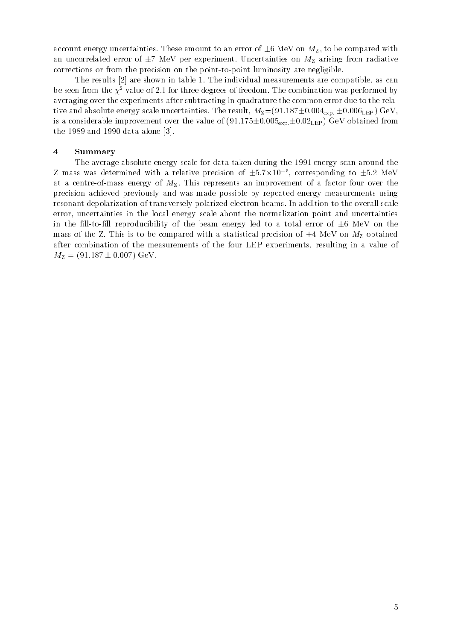account energy uncertainties. These amount to an error of  $\pm 6$  MeV on  $M_{\rm Z}$ , to be compared with an uncorrelated error of  $\pm 7$  MeV per experiment. Uncertainties on  $M_{\rm Z}$  arising from radiative corrections or from the precision on the point-to-point luminosity are negligible.

The results [2] are shown in table 1. The individual measurements are compatible, as can be seen from the  $\chi^2$  value of 2.1 for three degrees of freedom. The combination was performed by averaging over the experiments after subtracting in quadrature the common error due to the relative and absolute energy scale uncertainties. The result,  $M_{\rm Z}$  = (91.187 $\pm$ 0.004<sub>exp:</sub>  $\pm$ 0.006<sub>LEP</sub>) GeV, is a considerable improvement over the value of  $(91.175\pm0.005_{\rm exp}\pm0.02_{\rm LEP})$  GeV obtained from the 1989 and 1990 data alone [3].

#### 4 Summary

The average absolute energy scale for data taken during the 1991 energy scan around the  $\rm{Z}$  mass was determined with a relative precision of  $\pm 5.7\,\rm{X10}$  °, corresponding to  $\pm 5.2\,$  MeV at a centre-of-mass energy of  $M_{\rm Z}$ . This represents an improvement of a factor four over the precision achieved previously and was made possible by repeated energy measurements using resonant depolarization of transversely polarized electron beams. In addition to the overall scale error, uncertainties in the local energy scale about the normalization point and uncertainties in the fill-to-fill reproducibility of the beam energy led to a total error of  $\pm 6$  MeV on the mass of the Z. This is to be compared with a statistical precision of  $\pm 4$  MeV on  $M_Z$  obtained after combination of the measurements of the four LEP experiments, resulting in a value of  $M_{\rm Z} = (91.187 \pm 0.007) \text{ GeV}.$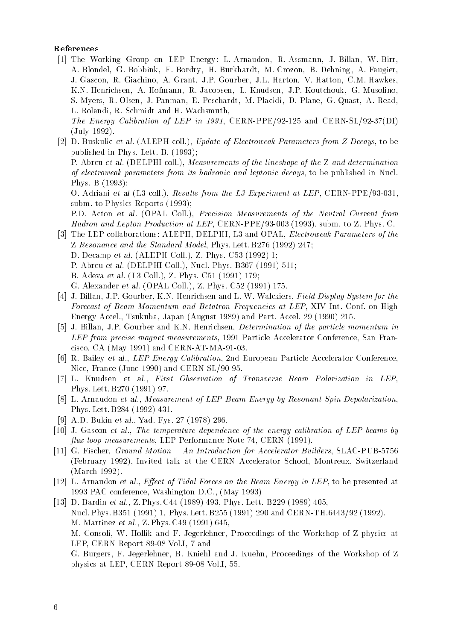## References

[1] The Working Group on LEP Energy: L. Arnaudon, R. Assmann, J. Billan, W. Birr, A. Blondel, G. Bobbink, F. Bordry, H. Burkhardt, M. Crozon, B. Dehning, A. Faugier, J. Gascon, R. Giachino, A. Grant, J.P. Gourber, J.L. Harton, V. Hatton, C.M. Hawkes, K.N. Henrichsen, A. Hofmann, R. Jacobsen, L. Knudsen, J.P. Koutchouk, G. Musolino, S. Myers, R. Olsen, J. Panman, E. Peschardt, M. Placidi, D. Plane, G. Quast, A. Read, L. Rolandi, R. Schmidt and H. Wachsmuth,

The Energy Calibration of LEP in 1991, CERN-PPE/92-125 and CERN-SL/92-37(DI) (July 1992).

[2] D. Buskulic et al. (ALEPH coll.), Update of Electroweak Parameters from Z Decays, to be published in Phys. Lett. B. (1993); P. Abreu et al. (DELPHI coll.), Measurements of the lineshape of the Z and determination

of electroweak parameters from its hadronic and leptonic decays, to be published in Nucl. Phys. B (1993);

O. Adriani et al (L3 coll.), Results from the L3 Experiment at LEP, CERN-PPE/93-031, subm. to Physics Reports (1993);

P.D. Acton et al. (OPAL Coll.), Precision Measurements of the Neutral Current from Hadron and Lepton Production at LEP, CERN-PPE/93-003 (1993), subm. to Z. Phys. C.

- [3] The LEP collaborations: ALEPH, DELPHI, L3 and OPAL, Electroweak Parameters of the Z Resonance and the Standard Model, Phys. Lett. B276 (1992) 247;
	- D. Decamp et al. (ALEPH Coll.), Z. Phys. C53 (1992) 1;
	- P. Abreu et al. (DELPHI Coll.), Nucl. Phys. B367 (1991) 511;
	- B. Adeva et al. (L3 Coll.), Z. Phys. C51 (1991) 179;
	- G. Alexander et al. (OPAL Coll.), Z. Phys. C52 (1991) 175.
- [4] J. Billan, J.P. Gourber, K.N. Henrichsen and L. W. Walckiers, Field Display System for the Forecast of Beam Momentum and Betatron Frequencies at LEP, XIV Int. Conf. on High Energy Accel., Tsukuba, Japan (August 1989) and Part. Accel. 29 (1990) 215.
- [5] J. Billan, J.P. Gourber and K.N. Henrichsen, Determination of the particle momentum in LEP from precise magnet measurements, 1991 Particle Accelerator Conference, San Francisco, CA (May 1991) and CERN-AT-MA-91-03.
- [6] R. Bailey et al., LEP Energy Calibration, 2nd European Particle Accelerator Conference, Nice, France (June 1990) and CERN SL/90-95.
- [7] L. Knudsen et al., First Observation of Transverse Beam Polarization in LEP, Phys. Lett. B270 (1991) 97.
- [8] L. Arnaudon et al., Measurement of LEP Beam Energy by Resonant Spin Depolarization, Phys. Lett. B284 (1992) 431.
- [9] A.D. Bukin et al., Yad. Fys. 27 (1978) 296.
- [10] J. Gascon et al., The temperature dependence of the energy calibration of LEP beams by flux loop measurements, LEP Performance Note 74, CERN (1991).
- [11] G. Fischer, Ground Motion  $An Introduction$  for Accelerator Builders, SLAC-PUB-5756 (February 1992), Invited talk at the CERN Accelerator School, Montreux, Switzerland (March 1992).
- [12] L. Arnaudon et al., *Effect of Tidal Forces on the Beam Energy in LEP*, to be presented at 1993 PAC conference, Washington D.C., (May 1993)
- [13] D. Bardin et al., Z. Phys. C44 (1989) 493, Phys. Lett. B229 (1989) 405, Nucl. Phys. B351 (1991) 1, Phys. Lett. B255 (1991) 290 and CERN-TH.6443/92 (1992). M. Martinez et al., Z. Phys. C49 (1991) 645, M. Consoli, W. Hollik and F. Jegerlehner, Proceedings of the Workshop of Z physics at LEP, CERN Report 89-08 Vol.I, 7 and G. Burgers, F. Jegerlehner, B. Kniehl and J. Kuehn, Proceedings of the Workshop of Z physics at LEP, CERN Report 89-08 Vol.I, 55.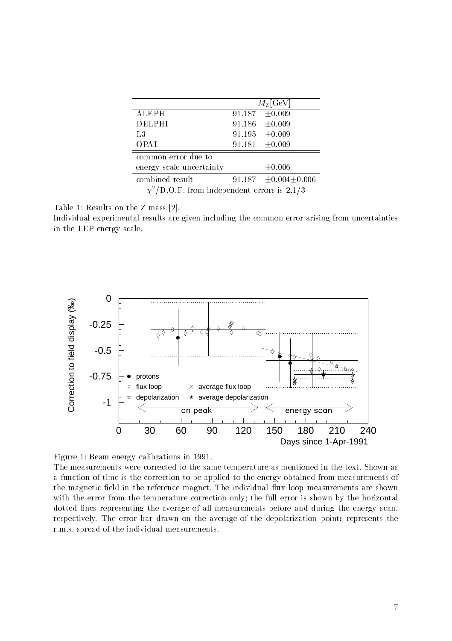|                                                   | $M_{\rm Z}[\rm GeV]$ |                              |
|---------------------------------------------------|----------------------|------------------------------|
| ALEPH                                             | 91.187               | ±0.009                       |
| DELPHI                                            | 91.186               | ±0.009                       |
| L3                                                | 91.195               | ±0.009                       |
| <b>OPAL</b>                                       | 91.181               | ±0.009                       |
| common error due to                               |                      |                              |
| energy scale uncertainty                          |                      | $\pm 0.006$                  |
| combined result                                   |                      | 91.187 $\pm 0.004 \pm 0.006$ |
| $\chi^2$ /D.O.F. from independent errors is 2.1/3 |                      |                              |

Table 1: Results on the Z mass [2].

Individual experimental results are given including the common error arising from uncertainties in the LEP energy scale.



Figure 1: Beam energy calibrations in 1991.

The measurements were corrected to the same temperature as mentioned in the text. Shown as a function of time is the correction to be applied to the energy obtained from measurements of the magnetic field in the reference magnet. The individual flux loop measurements are shown with the error from the temperature correction only; the full error is shown by the horizontal dotted lines representing the average of all measurements before and during the energy scan, respectively. The error bar drawn on the average of the depolarization points represents the r.m.s. spread of the individual measurements.